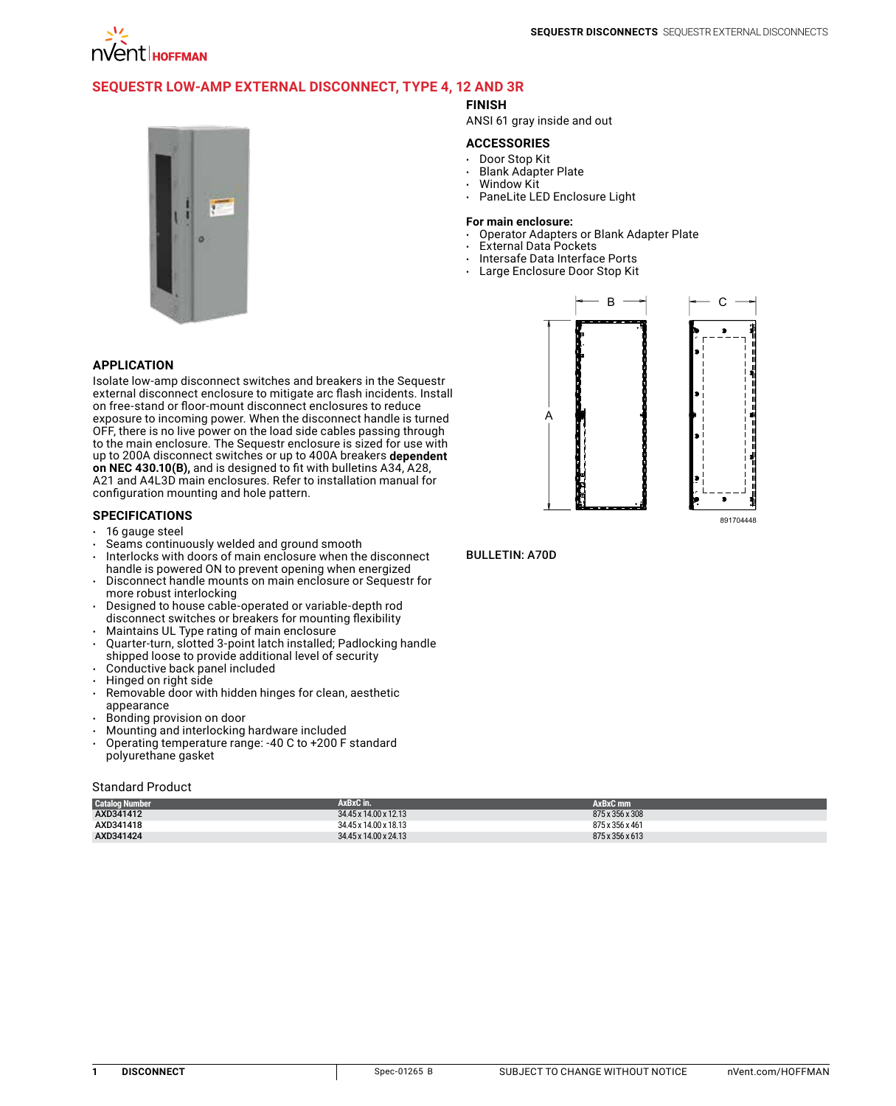

# **[Sequestr Low-Amp External Disconnect, Type 4, 12 and 3R](http://hoffman.nvent.com/en/hoffman/sequestr-low-amp-external-disconnect-type-4-12-and-3r-498185)**

## **FINISH**

ANSI 61 gray inside and out

#### **ACCESSORIES**

- Door Stop Kit
- Blank Adapter Plate
- Window Kit
	- PaneLite LED Enclosure Light

#### **For main enclosure:**

- Operator Adapters or Blank Adapter Plate
- **External Data Pockets**
- Intersafe Data Interface Ports
- Large Enclosure Door Stop Kit



# $\mathsf{A}$

 $B \rightarrow$   $\rightarrow$  C



## Bulletin: A70D

|--|

Isolate low-amp disconnect switches and breakers in the Sequestr external disconnect enclosure to mitigate arc flash incidents. Install on free-stand or floor-mount disconnect enclosures to reduce exposure to incoming power. When the disconnect handle is turned OFF, there is no live power on the load side cables passing through to the main enclosure. The Sequestr enclosure is sized for use with up to 200A disconnect switches or up to 400A breakers **dependent on NEC 430.10(B),** and is designed to fit with bulletins A34, A28, A21 and A4L3D main enclosures. Refer to installation manual for configuration mounting and hole pattern.

#### **SPECIFICATIONS**

- 16 gauge steel
- Seams continuously welded and ground smooth
- Interlocks with doors of main enclosure when the disconnect handle is powered ON to prevent opening when energized
- Disconnect handle mounts on main enclosure or Sequestr for more robust interlocking
- Designed to house cable-operated or variable-depth rod disconnect switches or breakers for mounting flexibility
- Maintains UL Type rating of main enclosure
- Quarter-turn, slotted 3-point latch installed; Padlocking handle shipped loose to provide additional level of security
- Conductive back panel included
- Hinged on right side
- Removable door with hidden hinges for clean, aesthetic appearance
- Bonding provision on door
- Mounting and interlocking hardware included
- Operating temperature range: -40 C to +200 F standard polyurethane gasket

#### Standard Product

| <b>Catalog Number</b> | AxBxC in.             | AxBxC mm        |
|-----------------------|-----------------------|-----------------|
| AXD341412             | 34.45 x 14.00 x 12.13 | 875 x 356 x 308 |
| AXD341418             | 34.45 x 14.00 x 18.13 | 875 x 356 x 461 |
| AXD341424             | 34.45 x 14.00 x 24.13 | 875 x 356 x 613 |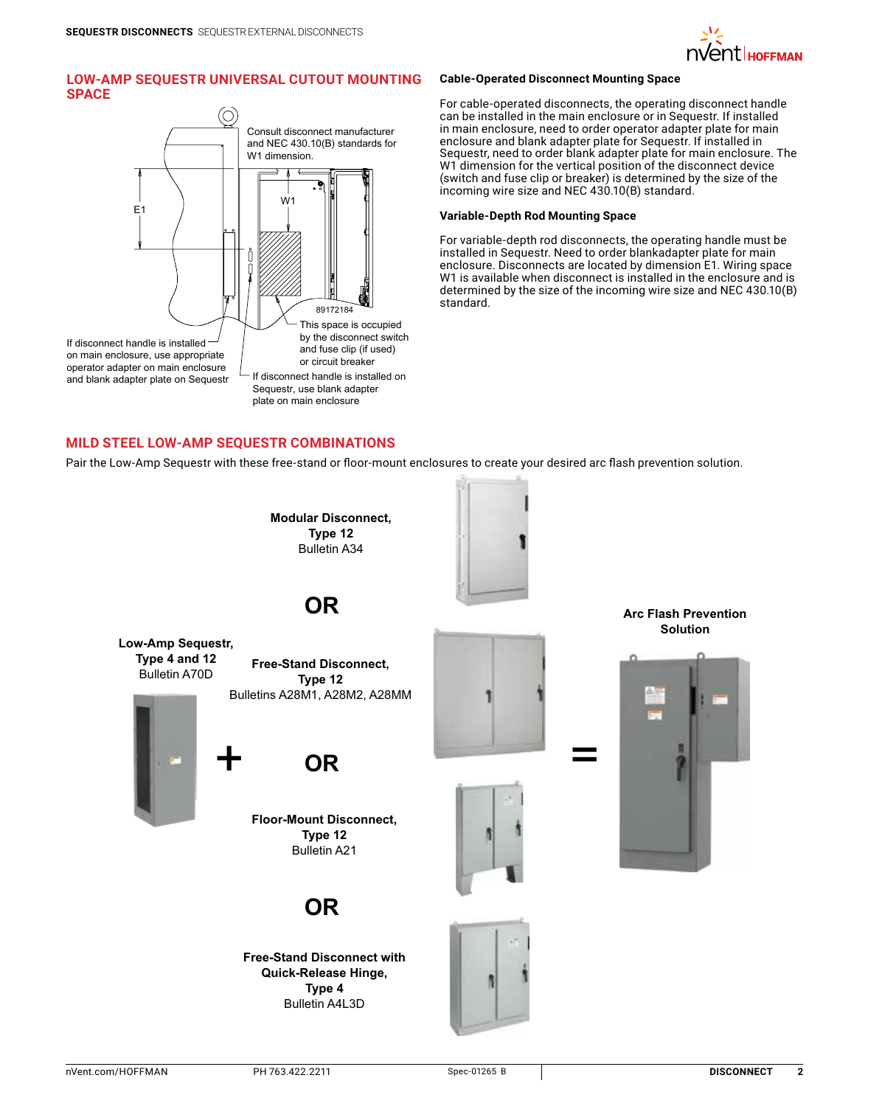

# **Low-Amp Sequestr Universal Cutout Mounting Space**



#### **Cable-Operated Disconnect Mounting Space**

For cable-operated disconnects, the operating disconnect handle can be installed in the main enclosure or in Sequestr. If installed in main enclosure, need to order operator adapter plate for main enclosure and blank adapter plate for Sequestr. If installed in Sequestr, need to order blank adapter plate for main enclosure. The W1 dimension for the vertical position of the disconnect device (switch and fuse clip or breaker) is determined by the size of the incoming wire size and NEC 430.10(B) standard.

## **Variable-Depth Rod Mounting Space**

For variable-depth rod disconnects, the operating handle must be installed in Sequestr. Need to order blankadapter plate for main enclosure. Disconnects are located by dimension E1. Wiring space W1 is available when disconnect is installed in the enclosure and is determined by the size of the incoming wire size and NEC 430.10(B) standard.

# **Mild Steel Low-Amp Sequestr Combinations**

Pair the Low-Amp Sequestr with these free-stand or floor-mount enclosures to create your desired arc flash prevention solution.

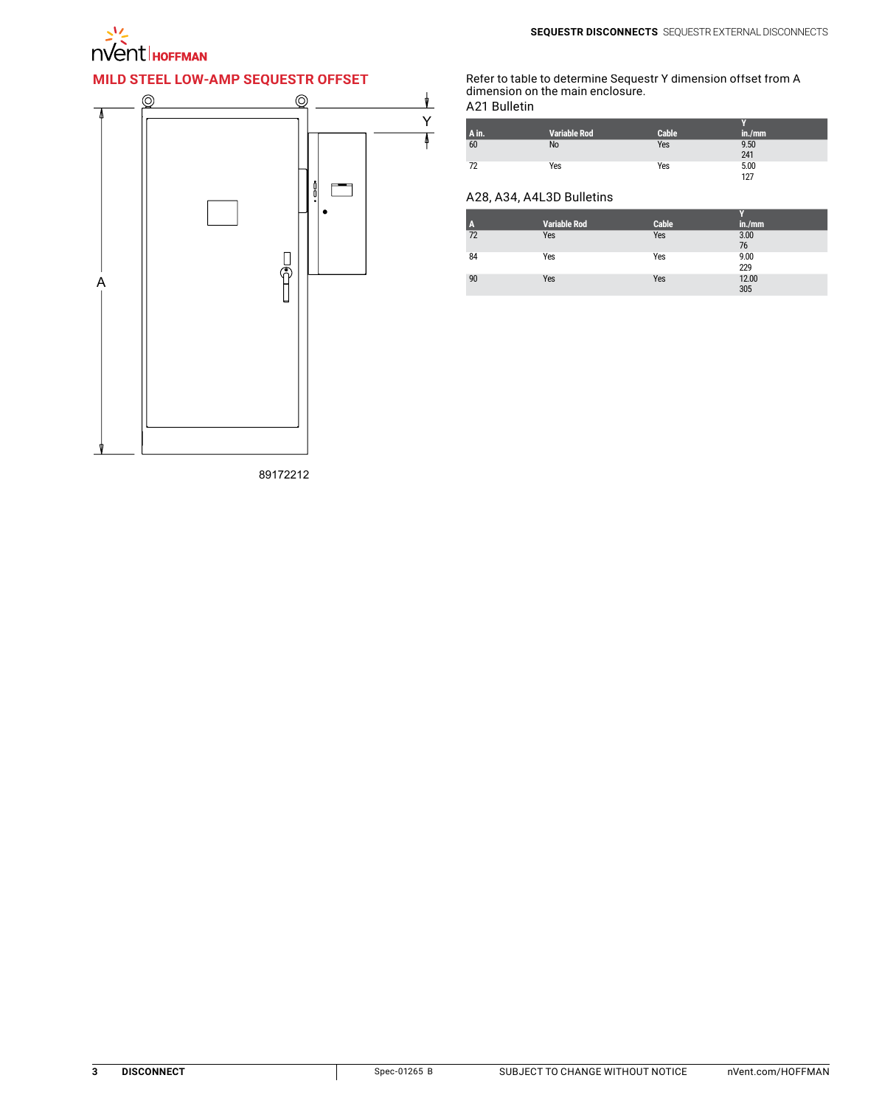

# **Mild Steel Low-Amp Sequestr Offset**



Refer to table to determine Sequestr Y dimension offset from A dimension on the main enclosure.

A21 Bulletin

| A in. | <b>Variable Rod</b> | Cable | in./mm      |
|-------|---------------------|-------|-------------|
| 60    | No                  | Yes   | 9.50        |
|       |                     |       | 241         |
| 72    | Yes                 | Yes   | 5.00<br>127 |
|       |                     |       |             |

# A28, A34, A4L3D Bulletins

| A  | <b>Variable Rod</b> | <b>Cable</b> | in./mm       |
|----|---------------------|--------------|--------------|
| 72 | Yes                 | Yes          | 3.00<br>76   |
| 84 | Yes                 | Yes          | 9.00<br>229  |
| 90 | Yes                 | Yes          | 12.00<br>305 |

89172212